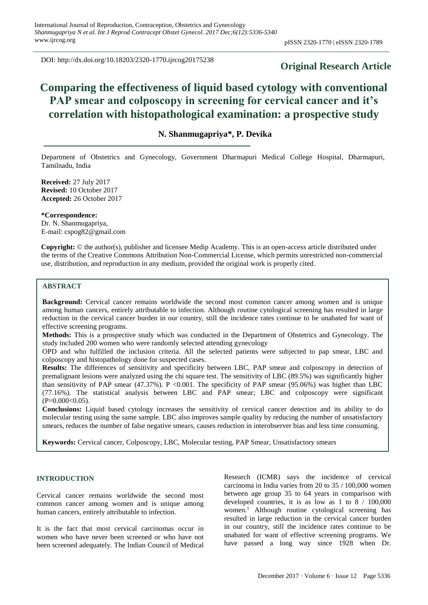DOI: http://dx.doi.org/10.18203/2320-1770.ijrcog20175238

# **Original Research Article**

# **Comparing the effectiveness of liquid based cytology with conventional PAP smear and colposcopy in screening for cervical cancer and it's correlation with histopathological examination: a prospective study**

# **N. Shanmugapriya\*, P. Devika**

Department of Obstetrics and Gynecology, Government Dharmapuri Medical College Hospital, Dharmapuri, Tamilnadu, India

**Received:** 27 July 2017 **Revised:** 10 October 2017 **Accepted:** 26 October 2017

**\*Correspondence:** Dr. N. Shanmugapriya, E-mail: cspog82@gmail.com

**Copyright:** © the author(s), publisher and licensee Medip Academy. This is an open-access article distributed under the terms of the Creative Commons Attribution Non-Commercial License, which permits unrestricted non-commercial use, distribution, and reproduction in any medium, provided the original work is properly cited.

## **ABSTRACT**

**Background:** Cervical cancer remains worldwide the second most common cancer among women and is unique among human cancers, entirely attributable to infection. Although routine cytological screening has resulted in large reduction in the cervical cancer burden in our country, still the incidence rates continue to be unabated for want of effective screening programs.

**Methods:** This is a prospective study which was conducted in the Department of Obstetrics and Gynecology. The study included 200 women who were randomly selected attending gynecology

OPD and who fulfilled the inclusion criteria. All the selected patients were subjected to pap smear, LBC and colposcopy and histopathology done for suspected cases.

**Results:** The differences of sensitivity and specificity between LBC, PAP smear and colposcopy in detection of premalignant lesions were analyzed using the chi square test. The sensitivity of LBC (89.5%) was significantly higher than sensitivity of PAP smear  $(47.37\%)$ . P <0.001. The specificity of PAP smear (95.06%) was higher than LBC (77.16%). The statistical analysis between LBC and PAP smear; LBC and colposcopy were significant  $(P=0.000<0.05)$ .

**Conclusions:** Liquid based cytology increases the sensitivity of cervical cancer detection and its ability to do molecular testing using the same sample. LBC also improves sample quality by reducing the number of unsatisfactory smears, reduces the number of false negative smears, causes reduction in interobserver bias and less time consuming.

**Keywords:** Cervical cancer, Colposcopy, LBC, Molecular testing, PAP Smear, Unsatisfactory smears

## **INTRODUCTION**

Cervical cancer remains worldwide the second most common cancer among women and is unique among human cancers, entirely attributable to infection.

It is the fact that most cervical carcinomas occur in women who have never been screened or who have not been screened adequately. The Indian Council of Medical Research (ICMR) says the incidence of cervical carcinoma in India varies from 20 to 35 / 100,000 women between age group 35 to 64 years in comparison with developed countries, it is as low as 1 to 8 / 100,000 women.<sup>1</sup> Although routine cytological screening has resulted in large reduction in the cervical cancer burden in our country, still the incidence rates continue to be unabated for want of effective screening programs. We have passed a long way since 1928 when Dr.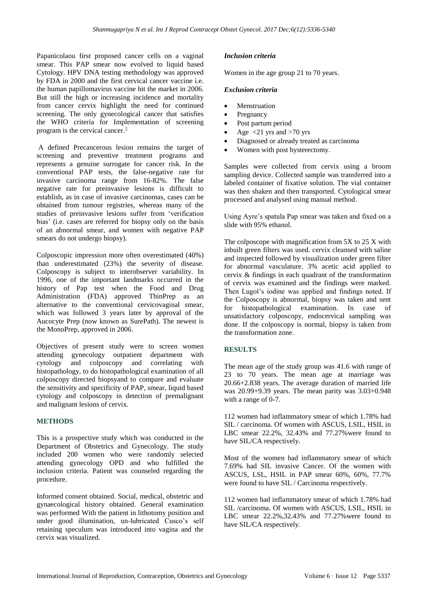Papanicolaou first proposed cancer cells on a vaginal smear. This PAP smear now evolved to liquid based Cytology. HPV DNA testing methodology was approved by FDA in 2000 and the first cervical cancer vaccine i.e. the human papillomavirus vaccine hit the market in 2006. But still the high or increasing incidence and mortality from cancer cervix highlight the need for continued screening. The only gynecological cancer that satisfies the WHO criteria for Implementation of screening program is the cervical cancer.<sup>2</sup>

A defined Precancerous lesion remains the target of screening and preventive treatment programs and represents a genuine surrogate for cancer risk. In the conventional PAP tests, the false-negative rate for invasive carcinoma range from 16-82%. The false negative rate for preinvasive lesions is difficult to establish, as in case of invasive carcinomas, cases can be obtained from tumour registries, whereas many of the studies of preinvasive lesions suffer from 'verification bias' (i.e. cases are referred for biopsy only on the basis of an abnormal smear, and women with negative PAP smears do not undergo biopsy).

Colposcopic impression more often overestimated (40%) than underestimated (23%) the severity of disease. Colposcopy is subject to interobserver variability. In 1996, one of the important landmarks occurred in the history of Pap test when the Food and Drug Administration (FDA) approved ThinPrep as an alternative to the conventional cervicovaginal smear, which was followed 3 years later by approval of the Aucocyte Prep (now known as SurePath). The newest is the MonoPrep, approved in 2006.

Objectives of present study were to screen women attending gynecology outpatient department with cytology and colposcopy and correlating with histopathology, to do histopathological examination of all colposcopy directed biopsyand to compare and evaluate the sensitivity and specificity of PAP, smear, liquid based cytology and colposcopy in detection of premalignant and malignant lesions of cervix.

## **METHODS**

This is a prospective study which was conducted in the Department of Obstetrics and Gynecology. The study included 200 women who were randomly selected attending gynecology OPD and who fulfilled the inclusion criteria. Patient was counseled regarding the procedure.

Informed consent obtained. Social, medical, obstetric and gynaecological history obtained. General examination was performed With the patient in lithotomy position and under good illumination, un-lubricated Cusco's self retaining speculum was introduced into vagina and the cervix was visualized.

## *Inclusion criteria*

Women in the age group 21 to 70 years.

## *Exclusion criteria*

- **Menstruation**
- **Pregnancy**
- Post partum period
- Age  $\langle 21 \rangle$  yrs and  $>70 \rangle$  yrs
- Diagnosed or already treated as carcinoma
- Women with post hysterectomy.

Samples were collected from cervix using a broom sampling device. Collected sample was transferred into a labeled container of fixative solution. The vial container was then shaken and then transported. Cytological smear processed and analysed using manual method.

Using Ayre's spatula Pap smear was taken and fixed on a slide with 95% ethanol.

The colposcope with magnification from 5X to 25 X with inbuilt green filters was used. cervix cleansed with saline and inspected followed by visualization under green filter for abnormal vasculature. 3% acetic acid applied to cervix & findings in each quadrant of the transformation of cervix was examined and the findings were marked. Then Lugol's iodine was applied and findings noted. If the Colposcopy is abnormal, biopsy was taken and sent for histopathological examination. In case of unsatisfactory colposcopy, endocervical sampling was done. If the colposcopy is normal, biopsy is taken from the transformation zone.

## **RESULTS**

The mean age of the study group was 41.6 with range of 23 to 70 years. The mean age at marriage was 20.66+2.838 years. The average duration of married life was 20.99+9.39 years. The mean parity was 3.03+0.948 with a range of 0-7.

112 women had inflammatory smear of which 1.78% had SIL / carcinoma. Of women with ASCUS, LSIL, HSIL in LBC smear 22.2%, 32.43% and 77.27%were found to have SIL/CA respectively.

Most of the women had inflammatory smear of which 7.69% had SIL invasive Cancer. Of the women with ASCUS, LSL, HSIL in PAP smear 60%, 60%, 77.7% were found to have SIL / Carcinoma respectively.

112 women had inflammatory smear of which 1.78% had SIL /carcinoma. Of women with ASCUS, LSIL, HSIL in LBC smear 22.2%,32.43% and 77.27%were found to have SIL/CA respectively.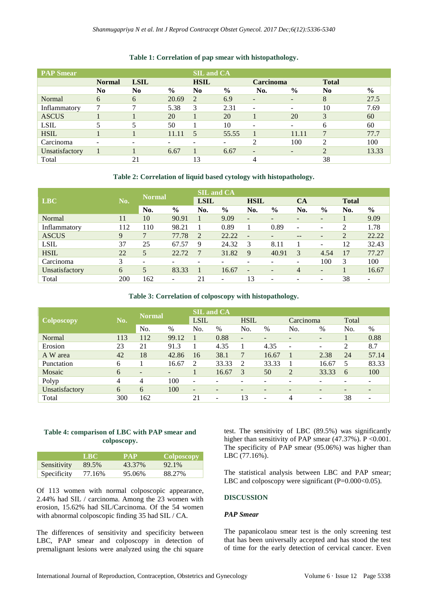| <b>PAP Smear</b> |                |                |               | <b>SIL and CA</b> |                              |                          |               |                |               |
|------------------|----------------|----------------|---------------|-------------------|------------------------------|--------------------------|---------------|----------------|---------------|
|                  | <b>Normal</b>  | <b>LSIL</b>    |               | <b>HSIL</b>       |                              | <b>Carcinoma</b>         |               | <b>Total</b>   |               |
|                  | N <sub>0</sub> | N <sub>0</sub> | $\frac{0}{0}$ | N <sub>0</sub>    | $\frac{6}{9}$                | No.                      | $\frac{0}{0}$ | N <sub>0</sub> | $\frac{0}{0}$ |
| Normal           | 6              | 6              | 20.69         | 2                 | 6.9                          | $\overline{\phantom{0}}$ | -             | 8              | 27.5          |
| Inflammatory     | 7              | 7              | 5.38          | 3                 | 2.31                         |                          |               | 10             | 7.69          |
| <b>ASCUS</b>     |                |                | 20            |                   | 20                           |                          | 20            | 3              | 60            |
| <b>LSIL</b>      | 5              | 5              | 50            |                   | 10                           |                          |               | 6              | 60            |
| <b>HSIL</b>      |                |                | 11.11         | 5                 | 55.55                        |                          | 11.11         |                | 77.7          |
| Carcinoma        |                | -              |               |                   | $\qquad \qquad \blacksquare$ | 2                        | 100           | ↑              | 100           |
| Unsatisfactory   |                |                | 6.67          |                   | 6.67                         | $\overline{\phantom{0}}$ | -             | $\mathcal{D}$  | 13.33         |
| Total            |                | 21             |               | 13                |                              |                          |               | 38             |               |

## **Table 1: Correlation of pap smear with histopathology.**

## **Table 2: Correlation of liquid based cytology with histopathology.**

|                |             | <b>Normal</b>  |                              | <b>SIL and CA</b> |               |                          |                          |     |                          |              |                          |
|----------------|-------------|----------------|------------------------------|-------------------|---------------|--------------------------|--------------------------|-----|--------------------------|--------------|--------------------------|
| <b>LBC</b>     | No.         |                |                              | <b>LSIL</b>       |               | <b>HSIL</b>              |                          | CA  |                          | <b>Total</b> |                          |
|                |             | No.            | $\frac{6}{9}$                | No.               | $\frac{0}{0}$ | No.                      | $\frac{0}{0}$            | No. | $\frac{0}{0}$            | No.          | $\frac{6}{9}$            |
| Normal         | 11          | 10             | 90.91                        |                   | 9.09          | $\overline{\phantom{a}}$ | $\overline{\phantom{0}}$ |     | $\overline{\phantom{0}}$ |              | 9.09                     |
| Inflammatory   | 112         | 110            | 98.21                        |                   | 0.89          |                          | 0.89                     | -   | $\overline{\phantom{0}}$ | 2            | 1.78                     |
| <b>ASCUS</b>   | $\mathbf Q$ | $\overline{7}$ | 77.78                        | $\overline{2}$    | 22.22         | $\overline{\phantom{a}}$ |                          | $-$ | $\overline{\phantom{0}}$ | 2            | 22.22                    |
| <b>LSIL</b>    | 37          | 25             | 67.57                        | 9                 | 24.32         | 3                        | 8.11                     |     | $\overline{\phantom{0}}$ | 12           | 32.43                    |
| <b>HSIL</b>    | 22          | 5              | 22.72                        | 7                 | 31.82         | 9                        | 40.91                    | 3   | 4.54                     | 17           | 77.27                    |
| Carcinoma      | 3           | -              |                              |                   |               |                          |                          |     | 100                      | 3            | 100                      |
| Unsatisfactory | 6           | 5              | 83.33                        |                   | 16.67         | $\overline{\phantom{a}}$ | $\overline{\phantom{0}}$ | 4   | $\overline{\phantom{0}}$ |              | 16.67                    |
| Total          | 200         | 162            | $\qquad \qquad \blacksquare$ | 21                | ٠             | 13                       | ÷                        |     | -                        | 38           | $\overline{\phantom{a}}$ |

## **Table 3: Correlation of colposcopy with histopathology.**

|                   |     | <b>Normal</b>            |                          | <b>SIL and CA</b>        |                          |                   |                          |                          |       |                          |                          |
|-------------------|-----|--------------------------|--------------------------|--------------------------|--------------------------|-------------------|--------------------------|--------------------------|-------|--------------------------|--------------------------|
| <b>Colposcopy</b> | No. |                          |                          | <b>LSIL</b>              |                          | <b>HSIL</b>       |                          | Carcinoma                |       | Total                    |                          |
|                   |     | No.                      | $\%$                     | No.                      | $\%$                     | No.               | $\%$                     | No.                      | $\%$  | No.                      | $\%$                     |
| Normal            | 113 | 112                      | 99.12                    |                          | 0.88                     | $\qquad \qquad =$ | -                        | -                        | -     |                          | 0.88                     |
| Erosion           | 23  | 21                       | 91.3                     |                          | 4.35                     |                   | 4.35                     | $\overline{\phantom{a}}$ | -     | 2                        | 8.7                      |
| A W area          | 42  | 18                       | 42.86                    | 16                       | 38.1                     |                   | 16.67                    |                          | 2.38  | 24                       | 57.14                    |
| Punctation        | 6   |                          | 16.67                    | 2                        | 33.33                    | $\mathcal{L}$     | 33.33                    |                          | 16.67 | 5                        | 83.33                    |
| Mosaic            | 6   | $\overline{\phantom{a}}$ | $\overline{\phantom{a}}$ |                          | 16.67                    | 3                 | 50                       | 2                        | 33.33 | 6                        | 100                      |
| Polyp             | 4   | 4                        | 100                      | $\overline{\phantom{a}}$ |                          |                   |                          | ۰                        |       |                          | -                        |
| Unsatisfactory    | 6   | 6                        | 100                      | -                        |                          | -                 | -                        | ۰                        | -     | $\overline{\phantom{0}}$ | -                        |
| Total             | 300 | 162                      |                          | 21                       | $\overline{\phantom{0}}$ | 13                | $\overline{\phantom{m}}$ | 4                        | -     | 38                       | $\overline{\phantom{a}}$ |

## **Table 4: comparison of LBC with PAP smear and colposcopy.**

|             | LBC.   | ZPAPZ  | Colposcopy |
|-------------|--------|--------|------------|
| Sensitivity | 89.5%  | 43.37% | 92.1%      |
| Specificity | 77.16% | 95.06% | 88.27%     |

Of 113 women with normal colposcopic appearance, 2.44% had SIL / carcinoma. Among the 23 women with erosion, 15.62% had SIL/Carcinoma. Of the 54 women with abnormal colposcopic finding 35 had SIL / CA.

The differences of sensitivity and specificity between LBC, PAP smear and colposcopy in detection of premalignant lesions were analyzed using the chi square

test. The sensitivity of LBC (89.5%) was significantly higher than sensitivity of PAP smear  $(47.37\%)$ . P < 0.001. The specificity of PAP smear (95.06%) was higher than LBC (77.16%).

The statistical analysis between LBC and PAP smear; LBC and colposcopy were significant  $(P=0.000<0.05)$ .

## **DISCUSSION**

## *PAP Smear*

The papanicolaou smear test is the only screening test that has been universally accepted and has stood the test of time for the early detection of cervical cancer. Even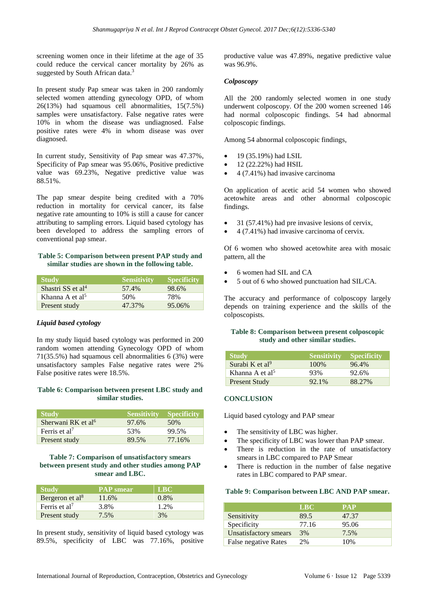screening women once in their lifetime at the age of 35 could reduce the cervical cancer mortality by 26% as suggested by South African data.<sup>3</sup>

In present study Pap smear was taken in 200 randomly selected women attending gynecology OPD, of whom 26(13%) had squamous cell abnormalities, 15(7.5%) samples were unsatisfactory. False negative rates were 10% in whom the disease was undiagnosed. False positive rates were 4% in whom disease was over diagnosed.

In current study, Sensitivity of Pap smear was 47.37%, Specificity of Pap smear was 95.06%, Positive predictive value was 69.23%, Negative predictive value was 88.51%.

The pap smear despite being credited with a 70% reduction in mortality for cervical cancer, its false negative rate amounting to 10% is still a cause for cancer attributing to sampling errors. Liquid based cytology has been developed to address the sampling errors of conventional pap smear.

#### **Table 5: Comparison between present PAP study and similar studies are shown in the following table.**

| <b>Study</b>                  | <b>Sensitivity</b> | <b>Specificity</b> |
|-------------------------------|--------------------|--------------------|
| Shastri SS et al <sup>4</sup> | 57.4%              | 98.6%              |
| Khanna A et al <sup>5</sup>   | 50%                | 78%                |
| Present study                 | 47.37%             | 95.06%             |

## *Liquid based cytology*

In my study liquid based cytology was performed in 200 random women attending Gynecology OPD of whom 71(35.5%) had squamous cell abnormalities 6 (3%) were unsatisfactory samples False negative rates were 2% False positive rates were 18.5%.

## **Table 6: Comparison between present LBC study and similar studies.**

| <b>Study</b>                   | Sensitivity Specificity |        |
|--------------------------------|-------------------------|--------|
| Sherwani RK et al <sup>6</sup> | 97.6%                   | 50%    |
| Ferris et al'                  | 53%                     | 99.5%  |
| Present study                  | 89.5%                   | 77.16% |

## **Table 7: Comparison of unsatisfactory smears between present study and other studies among PAP smear and LBC.**

| <b>Study</b>                | <b>PAP</b> smear | <b>TERCA</b> |
|-----------------------------|------------------|--------------|
| Bergeron et al <sup>8</sup> | 11.6%            | $0.8\%$      |
| Ferris et al <sup>7</sup>   | 3.8%             | 1.2%         |
| Present study               | 7.5%             | 3%           |

In present study, sensitivity of liquid based cytology was 89.5%, specificity of LBC was 77.16%, positive productive value was 47.89%, negative predictive value was 96.9%.

#### *Colposcopy*

All the 200 randomly selected women in one study underwent colposcopy. Of the 200 women screened 146 had normal colposcopic findings. 54 had abnormal colposcopic findings.

Among 54 abnormal colposcopic findings,

- 19 (35.19%) had LSIL
- $12 (22.22%)$  had HSIL
- 4 (7.41%) had invasive carcinoma

On application of acetic acid 54 women who showed acetowhite areas and other abnormal colposcopic findings.

- 31 (57.41%) had pre invasive lesions of cervix,
- 4 (7.41%) had invasive carcinoma of cervix.

Of 6 women who showed acetowhite area with mosaic pattern, all the

- 6 women had SIL and CA
- 5 out of 6 who showed punctuation had SIL/CA.

The accuracy and performance of colposcopy largely depends on training experience and the skills of the colposcopists.

#### **Table 8: Comparison between present colposcopic study and other similar studies.**

| <b>Study</b>                  | <b>Sensitivity Specificity</b> |        |
|-------------------------------|--------------------------------|--------|
| Surabi K et $al^9$            | 100\%                          | 96.4%  |
| Khanna $A$ et al <sup>5</sup> | 93%                            | 92.6%  |
| <b>Present Study</b>          | 92.1%                          | 88.27% |

## **CONCLUSION**

Liquid based cytology and PAP smear

- The sensitivity of LBC was higher.
- The specificity of LBC was lower than PAP smear.
- There is reduction in the rate of unsatisfactory smears in LBC compared to PAP Smear
- There is reduction in the number of false negative rates in LBC compared to PAP smear.

#### **Table 9: Comparison between LBC AND PAP smear.**

|                       | <b>LBC</b> | <b>PAP</b> |
|-----------------------|------------|------------|
| Sensitivity           | 89.5       | 47.37      |
| Specificity           | 77.16      | 95.06      |
| Unsatisfactory smears | 3%         | 7.5%       |
| False negative Rates  | 2%         | 10%        |